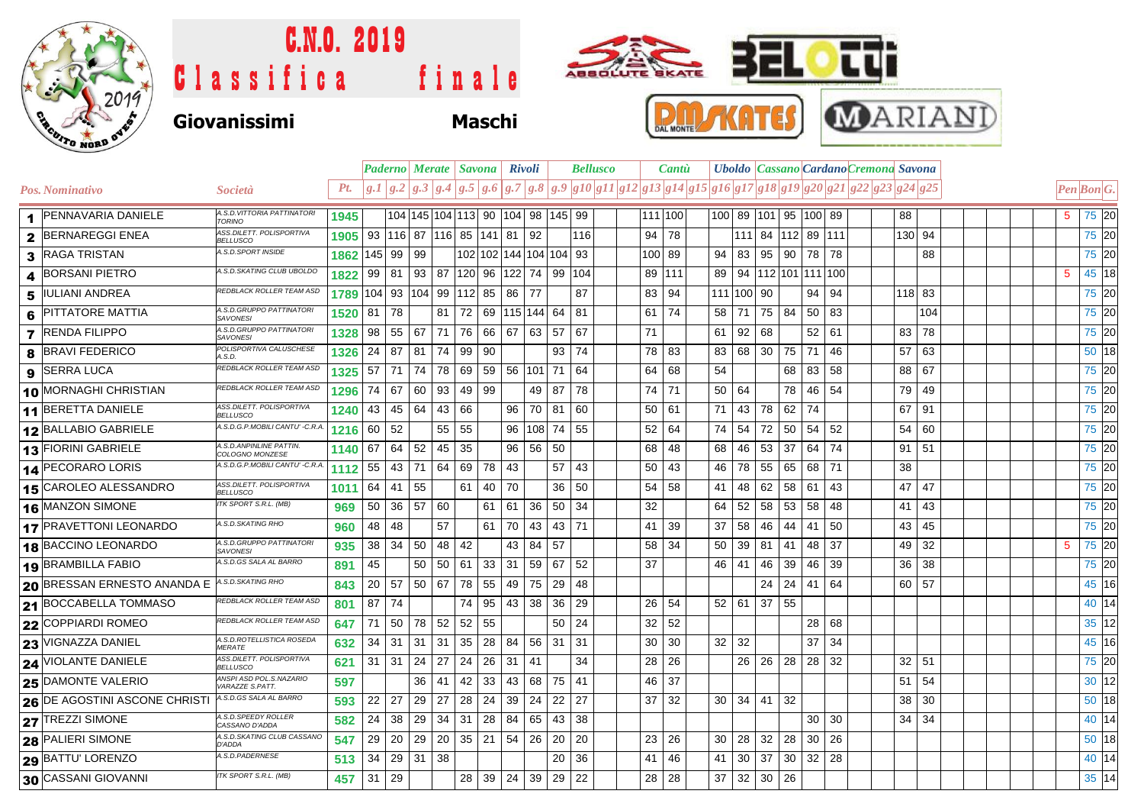

## C.N.O. 2019  $\bullet$ Tu **BEL** ABBOLUTE BKATE Classifica finale **P.M.AKULES MARIANI Giovanissimi Maschi**

|   |                                    |                                              |      |              |       |         | <b>Paderno Merate   Savona   Rivoli</b>  |          |              |                             |            |       |     | <b>Bellusco</b> |    | Cantu   |     |                      |                      |                            |                 |     | Uboldo Cassano Cardano Cremona Savona                                                                                                                                                                                                                                                                                                                                                          |         |  |                                             |         |  |
|---|------------------------------------|----------------------------------------------|------|--------------|-------|---------|------------------------------------------|----------|--------------|-----------------------------|------------|-------|-----|-----------------|----|---------|-----|----------------------|----------------------|----------------------------|-----------------|-----|------------------------------------------------------------------------------------------------------------------------------------------------------------------------------------------------------------------------------------------------------------------------------------------------------------------------------------------------------------------------------------------------|---------|--|---------------------------------------------|---------|--|
|   | Pos. Nominativo                    | <i>Società</i>                               | Pt.  |              |       |         |                                          |          |              |                             |            |       |     |                 |    |         |     |                      |                      |                            |                 |     | $\left[g,1\right]g,2\left[g,3\right]g,4\left[g,5\right]g,6\left[g,7\right]g,8\left[g,9\right]g10\left[g11\right]g12\left[g13\right]g14\left[g15\right]g16\left[g17\right]g18\left[g19\right]g20\left[g21\right]g22\left[g23\right]g24\left[g25\right]g16\left[g17\right]g18\left[g19\right]g12\left[g23\right]g24\left[g25\right]g16\left[g17\right]g18\left[g19\right]g16\left[g19\right]g16$ |         |  | $\left  Pen\right $ Bon $\left  G. \right $ |         |  |
|   | 1 PENNAVARIA DANIELE               | A.S.D. VITTORIA PATTINATORI<br><b>TORINO</b> | 1945 |              |       |         | 104 145 104 113 90 104 98 145 99         |          |              |                             |            |       |     |                 |    | 111 100 |     |                      |                      | 100 89  101 95  100 89     |                 |     | 88                                                                                                                                                                                                                                                                                                                                                                                             |         |  | $5^{\circ}$                                 | 75 20   |  |
|   | 2 BERNAREGGI ENEA                  | ASS.DILETT. POLISPORTIVA<br><b>BELLUSCO</b>  | 1905 |              |       |         | 93   116   87   116   85   141   81   92 |          |              |                             |            |       | 116 |                 | 94 | 78      |     |                      |                      | 111 84 112 89 111          |                 |     |                                                                                                                                                                                                                                                                                                                                                                                                | 130 94  |  |                                             | 75 20   |  |
|   | 3 RAGA TRISTAN                     | A.S.D.SPORT INSIDE                           | 1862 | $ 145 $ 99   |       | 99      |                                          |          |              | 102   102   144   104   104 |            |       | 93  |                 |    | 100 89  | 94  | 83                   | 95                   | 90                         | 78              | 78  |                                                                                                                                                                                                                                                                                                                                                                                                | 88      |  |                                             | 75 20   |  |
|   | 4 BORSANI PIETRO                   | A.S.D. SKATING CLUB UBOLDC                   | 1822 | 99           | 81    |         | 93 87                                    | 120      |              | 96 122 74 99                |            |       | 104 |                 | 89 | 111     | 89  |                      |                      | 94   112   101   111   100 |                 |     |                                                                                                                                                                                                                                                                                                                                                                                                |         |  | 5                                           | 45 18   |  |
|   | 5 IULIANI ANDREA                   | REDBLACK ROLLER TEAM ASL                     | 1789 | 104 93       |       |         | 104 99                                   | $112$ 85 |              | 86 77                       |            |       | 87  |                 | 83 | 94      | 111 | 100 90               |                      |                            | 94              | 94  |                                                                                                                                                                                                                                                                                                                                                                                                | 118 83  |  |                                             | 75 20   |  |
| 6 | <b>PITTATORE MATTIA</b>            | A.S.D.GRUPPO PATTINATORI<br><b>SAVONESI</b>  | 1520 | 81           | 78    |         | 81                                       | 72       |              | 69 115 144 64               |            |       | 81  |                 | 61 | 74      | 58  | 71                   | 75                   | 84                         | 50              | 83  |                                                                                                                                                                                                                                                                                                                                                                                                | 104     |  |                                             | 75 20   |  |
|   | <b>7</b> RENDA FILIPPO             | A.S.D.GRUPPO PATTINATOR<br><b>SAVONESI</b>   | 1328 | 98           | 55    | 67      | 71                                       | 76       | 66           | 67                          | 63         | 57    | 67  |                 | 71 |         | 61  | 92                   | 68                   |                            | 52              | 61  | 83                                                                                                                                                                                                                                                                                                                                                                                             | 78      |  |                                             | 75 20   |  |
|   | <b>8 BRAVI FEDERICO</b>            | POLISPORTIVA CALUSCHESE<br>A.S.D.            | 1326 | 24           | 87    | 81      | 74                                       | 99       | 90           |                             |            | 93    | 74  |                 | 78 | 83      | 83  | 68                   | 30                   | 75                         | 71              | 46  | 57                                                                                                                                                                                                                                                                                                                                                                                             | 63      |  |                                             | 50 18   |  |
|   | 9 SERRA LUCA                       | REDBLACK ROLLER TEAM ASD                     | 1325 | 57 71        |       | 74      | 78                                       | 69       |              | 59 56 101 71                |            |       | 64  |                 | 64 | 68      | 54  |                      |                      | 68                         | 83              | 58  | 88                                                                                                                                                                                                                                                                                                                                                                                             | 67      |  |                                             | 75 20   |  |
|   | 10 MORNAGHI CHRISTIAN              | REDBLACK ROLLER TEAM ASD                     | 1296 | 74           | 67    | 60      | 93                                       | 49       | 99           |                             |            | 49 87 | 78  |                 | 74 | 71      | 50  | 64                   |                      | 78                         | 46              | 54  | 79                                                                                                                                                                                                                                                                                                                                                                                             | 49      |  |                                             | 75 20   |  |
|   | 11 BERETTA DANIELE                 | ASS.DILETT. POLISPORTIVA<br><b>BELLUSCO</b>  | 1240 | 43           | 45    | 64      | 43                                       | 66       |              | 96                          | 70 81      |       | 60  |                 | 50 | 61      | 71  | 43                   | 78                   | 62                         | 74              |     | 67                                                                                                                                                                                                                                                                                                                                                                                             | 91      |  |                                             | 75 20   |  |
|   | 12 BALLABIO GABRIELE               | A.S.D.G.P.MOBILI CANTU' -C.R.A               | 1216 | 60           | 52    |         | 55                                       | 55       |              | 96                          | $ 108 $ 74 |       | 55  |                 | 52 | 64      | 74  | 54                   | 72                   | 50                         | 54              | 52  | 54                                                                                                                                                                                                                                                                                                                                                                                             | 60      |  |                                             | 75 20   |  |
|   | 13 FIORINI GABRIELE                | A.S.D. ANPINLINE PATTIN.<br>COLOGNO MONZESE  | 1140 | 67           | 64    | 52      | 45                                       | 35       |              | 96                          |            | 56 50 |     |                 | 68 | 48      | 68  | 46                   | 53                   | 37                         | 64              | 74  | 91                                                                                                                                                                                                                                                                                                                                                                                             | 51      |  |                                             | 75 20   |  |
|   | 14 PECORARO LORIS                  | A.S.D.G.P.MOBILI CANTU' -C.R.A               | 1112 | 55           | 43    | 71      | 64                                       | 69       | 78           | 43                          |            | 57    | 43  |                 | 50 | 43      | 46  | 78                   | 55                   | 65                         | 68              | 71  | 38                                                                                                                                                                                                                                                                                                                                                                                             |         |  |                                             | 75 20   |  |
|   | 15 CAROLEO ALESSANDRO              | ASS.DILETT. POLISPORTIVA<br><b>BELLUSCO</b>  | 1011 | $64 \mid 41$ |       | 55      |                                          | 61       | 40           | 70                          |            | 36    | 50  |                 | 54 | 58      | 41  | 48                   | 62                   | 58                         | 61              | 43  | 47                                                                                                                                                                                                                                                                                                                                                                                             | 47      |  |                                             | 75 20   |  |
|   | 16 MANZON SIMONE                   | ITK SPORT S.R.L. (MB)                        | 969  | 50           | 36    | 57      | 60                                       |          | 61           | 61                          | 36         | 50    | 34  |                 | 32 |         | 64  | 52                   | 58                   | 53                         | 58              | 48  | 41                                                                                                                                                                                                                                                                                                                                                                                             | 43      |  |                                             | 75 20   |  |
|   | 17 PRAVETTONI LEONARDO             | A.S.D.SKATING RHO                            | 960  | 48           | 48    |         | 57                                       |          | 61           | 70                          | 43         | 43    | 71  |                 | 41 | 39      | 37  | 58                   | 46                   | 44                         | 41              | 50  | 43                                                                                                                                                                                                                                                                                                                                                                                             | 45      |  |                                             | 75 20   |  |
|   | 18 BACCINO LEONARDO                | A.S.D.GRUPPO PATTINATOR<br><b>SAVONESI</b>   | 935  | 38 34        |       | 50      | 48                                       | 42       |              | 43                          | 84 57      |       |     |                 | 58 | 34      | 50  | 39 81                |                      | 41                         | 48              | 37  | 49                                                                                                                                                                                                                                                                                                                                                                                             | 32      |  | 5                                           | 75 20   |  |
|   | 19 BRAMBILLA FABIO                 | A.S.D.GS SALA AL BARRO                       | 891  | 45           |       | 50      | 50                                       | 61       | $33 \mid 31$ |                             | 59 67      |       | 52  |                 | 37 |         | 46  | 41                   | 46                   | 39                         | 46              | -39 | 36                                                                                                                                                                                                                                                                                                                                                                                             | 38      |  |                                             | 75 20   |  |
|   | <b>20 BRESSAN ERNESTO ANANDA E</b> | A.S.D.SKATING RHO                            | 843  | 20           | 57    | 50   67 |                                          | 78       | 55           | 49                          | 75 29      |       | 48  |                 |    |         |     |                      | 24                   | 24                         | 41              | 64  |                                                                                                                                                                                                                                                                                                                                                                                                | 60 57   |  |                                             | 45 16   |  |
|   | 21 BOCCABELLA TOMMASO              | REDBLACK ROLLER TEAM ASD                     | 801  | $87$ 74      |       |         |                                          | 74       | 95           | 43 38                       |            | 36    | 29  |                 | 26 | 54      |     | $52 \mid 61$         | 37                   | 55                         |                 |     |                                                                                                                                                                                                                                                                                                                                                                                                |         |  |                                             | 40 14   |  |
|   | 22 COPPIARDI ROMEO                 | REDBLACK ROLLER TEAM ASD                     | 647  |              | 71 50 | 78      | 52                                       | 52       | 55           |                             |            | 50    | 24  |                 | 32 | 52      |     |                      |                      |                            | 28              | 68  |                                                                                                                                                                                                                                                                                                                                                                                                |         |  |                                             | 35 12   |  |
|   | 23 VIGNAZZA DANIEL                 | A.S.D.ROTELLISTICA ROSEDA<br><b>MERATE</b>   | 632  | $34$ 31      |       | 31      | 31                                       | 35       | 28           | 84                          |            | 56 31 | 31  |                 | 30 | 30      |     | $32 \mid 32$         |                      |                            | 37              | 34  |                                                                                                                                                                                                                                                                                                                                                                                                |         |  |                                             | 45 16   |  |
|   | <b>24 VIOLANTE DANIELE</b>         | ASS.DILETT. POLISPORTIVA<br><b>BELLUSCO</b>  | 621  | $31 \mid 31$ |       | 24      | 27                                       | 24       | 26           | $31$                        | 41         |       | 34  |                 | 28 | 26      |     | 26                   |                      | $26 \mid 28 \mid$          | 28 32           |     |                                                                                                                                                                                                                                                                                                                                                                                                | $32$ 51 |  |                                             | 75 20   |  |
|   | <b>25 DAMONTE VALERIO</b>          | ANSPI ASD POL.S.NAZARIO<br>VARAZZE S.PATT.   | 597  |              |       | 36      | 41                                       | 42       | 33           | 43                          |            | 68 75 | 41  |                 | 46 | 37      |     |                      |                      |                            |                 |     | 51                                                                                                                                                                                                                                                                                                                                                                                             | 54      |  |                                             | 30 12   |  |
|   | 26 DE AGOSTINI ASCONE CHRISTI      | A.S.D.GS SALA AL BARRO                       | 593  | 22           | 27    | 29      | 27                                       | 28       | 24           | 39                          | 24         | 22    | 27  |                 | 37 | 32      |     | $30 \mid 34 \mid 41$ |                      | 32                         |                 |     | 38                                                                                                                                                                                                                                                                                                                                                                                             | 30      |  |                                             | 50 18   |  |
|   | 27 TREZZI SIMONE                   | A.S.D. SPEEDY ROLLER<br>CASSANO D'ADDA       | 582  | 24           | 38    | 29      | 34                                       | 31       | 28           | 84                          | 65         | 43    | 38  |                 |    |         |     |                      |                      |                            | 30 <sup>1</sup> | 30  | 34                                                                                                                                                                                                                                                                                                                                                                                             | 34      |  |                                             | 40 14   |  |
|   | <b>28 PALIERI SIMONE</b>           | A.S.D.SKATING CLUB CASSANO<br><b>D'ADDA</b>  | 547  | 29           | 20    | 29      | 20                                       | 35       | 21           | 54                          |            | 26 20 | 20  |                 | 23 | 26      | 30  | 28                   | 32                   | 28                         | 30              | 26  |                                                                                                                                                                                                                                                                                                                                                                                                |         |  |                                             | $50$ 18 |  |
|   | <b>29 BATTU LORENZO</b>            | A.S.D.PADERNESE                              | 513  | 34           | 29    | 31      | 38                                       |          |              |                             |            | 20    | 36  |                 | 41 | 46      | 41  | 30                   | 37                   | 30                         | $32 \mid 28$    |     |                                                                                                                                                                                                                                                                                                                                                                                                |         |  |                                             | 40 14   |  |
|   | 30 CASSANI GIOVANNI                | ITK SPORT S.R.L. (MB)                        | 457  | $31 \mid 29$ |       |         |                                          | 28       |              | 39   24   39   29           |            |       | 22  |                 | 28 | 28      | 37  |                      | $32 \mid 30 \mid 26$ |                            |                 |     |                                                                                                                                                                                                                                                                                                                                                                                                |         |  |                                             | 35 14   |  |